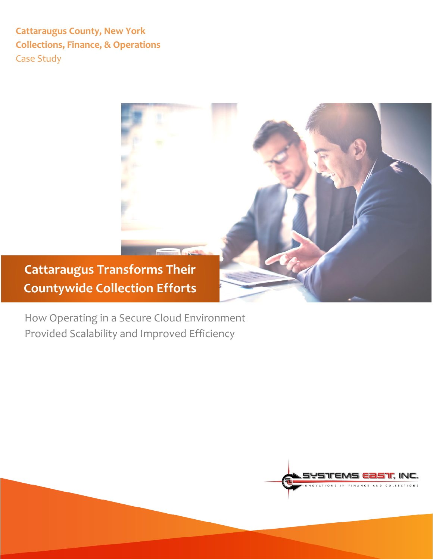**Cattaraugus County, New York Collections, Finance, & Operations** Case Study



How Operating in a Secure Cloud Environment Provided Scalability and Improved Efficiency

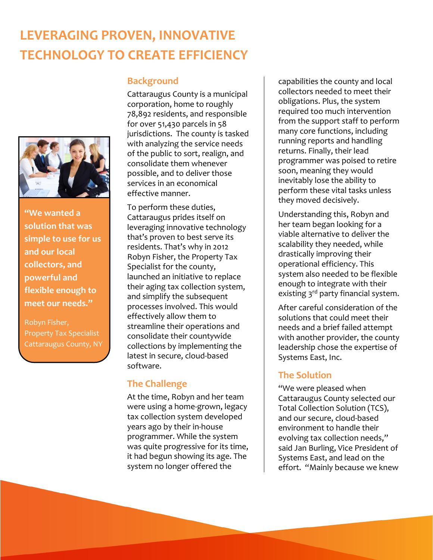# **LEVERAGING PROVEN, INNOVATIVE TECHNOLOGY TO CREATE EFFICIENCY**



**"We wanted a solution that was simple to use for us and our local collectors, and powerful and flexible enough to meet our needs."**

Robyn Fisher, Property Tax Specialist Cattaraugus County, NY

### **Background**

Cattaraugus County is a municipal corporation, home to roughly 78,892 residents, and responsible for over 51,430 parcels in 58 jurisdictions. The county is tasked with analyzing the service needs of the public to sort, realign, and consolidate them whenever possible, and to deliver those services in an economical effective manner.

To perform these duties, Cattaraugus prides itself on leveraging innovative technology that's proven to best serve its residents. That's why in 2012 Robyn Fisher, the Property Tax Specialist for the county, launched an initiative to replace their aging tax collection system, and simplify the subsequent processes involved. This would effectively allow them to streamline their operations and consolidate their countywide collections by implementing the latest in secure, cloud-based software.

## **The Challenge**

At the time, Robyn and her team were using a home-grown, legacy tax collection system developed years ago by their in-house programmer. While the system was quite progressive for its time, it had begun showing its age. The system no longer offered the

capabilities the county and local collectors needed to meet their obligations. Plus, the system required too much intervention from the support staff to perform many core functions, including running reports and handling returns. Finally, their lead programmer was poised to retire soon, meaning they would inevitably lose the ability to perform these vital tasks unless they moved decisively.

Understanding this, Robyn and her team began looking for a viable alternative to deliver the scalability they needed, while drastically improving their operational efficiency. This system also needed to be flexible enough to integrate with their existing 3<sup>rd</sup> party financial system.

After careful consideration of the solutions that could meet their needs and a brief failed attempt with another provider, the county leadership chose the expertise of Systems East, Inc.

#### **The Solution**

"We were pleased when Cattaraugus County selected our Total Collection Solution (TCS), and our secure, cloud-based environment to handle their evolving tax collection needs," said Jan Burling, Vice President of Systems East, and lead on the effort. "Mainly because we knew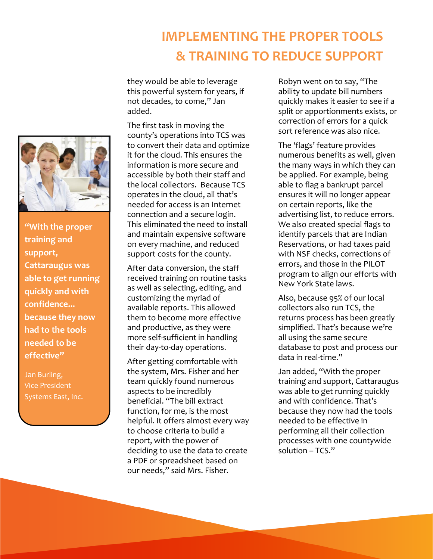## **IMPLEMENTING THE PROPER TOOLS & TRAINING TO REDUCE SUPPORT**

they would be able to leverage this powerful system for years, if not decades, to come," Jan added.

The first task in moving the county's operations into TCS was to convert their data and optimize it for the cloud. This ensures the information is more secure and accessible by both their staff and the local collectors. Because TCS operates in the cloud, all that's needed for access is an Internet connection and a secure login. This eliminated the need to install and maintain expensive software on every machine, and reduced support costs for the county.

After data conversion, the staff received training on routine tasks as well as selecting, editing, and customizing the myriad of available reports. This allowed them to become more effective and productive, as they were more self-sufficient in handling their day-to-day operations.

After getting comfortable with the system, Mrs. Fisher and her team quickly found numerous aspects to be incredibly beneficial. "The bill extract function, for me, is the most helpful. It offers almost every way to choose criteria to build a report, with the power of deciding to use the data to create a PDF or spreadsheet based on our needs," said Mrs. Fisher.

Robyn went on to say, "The ability to update bill numbers quickly makes it easier to see if a split or apportionments exists, or correction of errors for a quick sort reference was also nice.

The 'flags' feature provides numerous benefits as well, given the many ways in which they can be applied. For example, being able to flag a bankrupt parcel ensures it will no longer appear on certain reports, like the advertising list, to reduce errors. We also created special flags to identify parcels that are Indian Reservations, or had taxes paid with NSF checks, corrections of errors, and those in the PILOT program to align our efforts with New York State laws.

Also, because 95% of our local collectors also run TCS, the returns process has been greatly simplified. That's because we're all using the same secure database to post and process our data in real-time."

Jan added, "With the proper training and support, Cattaraugus was able to get running quickly and with confidence. That's because they now had the tools needed to be effective in performing all their collection processes with one countywide solution – TCS."



**"With the proper training and support, Cattaraugus was able to get running quickly and with confidence... because they now had to the tools needed to be effective"** 

Jan Burling, Vice President Systems East, Inc.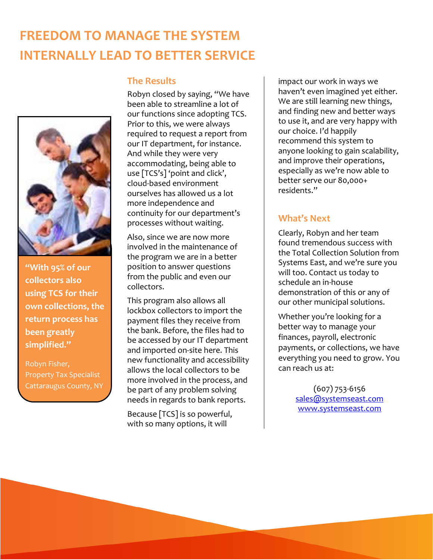# **FREEDOM TO MANAGE THE SYSTEM INTERNALLY LEAD TO BETTER SERVICE**



**"With 95% of our collectors also using TCS for their own collections, the return process has been greatly simplified."** 

Robyn Fisher, Property Tax Specialist Cattaraugus County, NY

## **The Results**

Robyn closed by saying, "We have been able to streamline a lot of our functions since adopting TCS. Prior to this, we were always required to request a report from our IT department, for instance. And while they were very accommodating, being able to use [TCS's] 'point and click', cloud-based environment ourselves has allowed us a lot more independence and continuity for our department's processes without waiting.

Also, since we are now more involved in the maintenance of the program we are in a better position to answer questions from the public and even our collectors.

This program also allows all lockbox collectors to import the payment files they receive from the bank. Before, the files had to be accessed by our IT department and imported on-site here. This new functionality and accessibility allows the local collectors to be more involved in the process, and be part of any problem solving needs in regards to bank reports.

Because [TCS] is so powerful, with so many options, it will

impact our work in ways we haven't even imagined yet either. We are still learning new things, and finding new and better ways to use it, and are very happy with our choice. I'd happily recommend this system to anyone looking to gain scalability, and improve their operations, especially as we're now able to better serve our 80,000+ residents."

## **What's Next**

Clearly, Robyn and her team found tremendous success with the Total Collection Solution from Systems East, and we're sure you will too. Contact us today to schedule an in-house demonstration of this or any of our other municipal solutions.

Whether you're looking for a better way to manage your finances, payroll, electronic payments, or collections, we have everything you need to grow. You can reach us at:

> (607) 753-6156 [sales@systemseast.com](mailto:sales@systemseast.com) [www.systemseast.com](http://www.systemseast.com/)